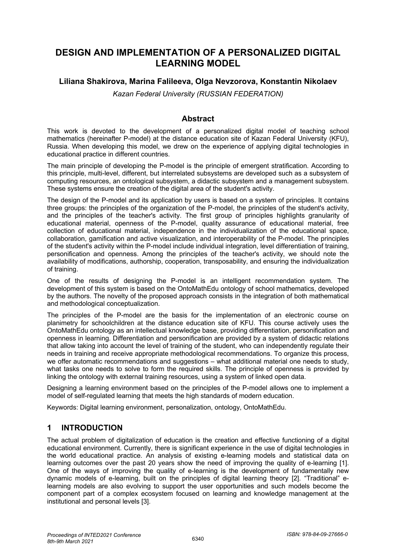# **DESIGN AND IMPLEMENTATION OF A PERSONALIZED DIGITAL LEARNING MODEL**

## **Liliana Shakirova, Marina Falileeva, Olga Nevzorova, Konstantin Nikolaev**

*Kazan Federal University (RUSSIAN FEDERATION)*

### **Abstract**

This work is devoted to the development of a personalized digital model of teaching school mathematics (hereinafter P-model) at the distance education site of Kazan Federal University (KFU), Russia. When developing this model, we drew on the experience of applying digital technologies in educational practice in different countries.

The main principle of developing the P-model is the principle of emergent stratification. According to this principle, multi-level, different, but interrelated subsystems are developed such as a subsystem of computing resources, an ontological subsystem, a didactic subsystem and a management subsystem. These systems ensure the creation of the digital area of the student's activity.

The design of the P-model and its application by users is based on a system of principles. It contains three groups: the principles of the organization of the P-model, the principles of the student's activity, and the principles of the teacher's activity. The first group of principles highlights granularity of educational material, openness of the P-model, quality assurance of educational material, free collection of educational material, independence in the individualization of the educational space, collaboration, gamification and active visualization, and interoperability of the P-model. The principles of the student's activity within the P-model include individual integration, level differentiation of training, personification and openness. Among the principles of the teacher's activity, we should note the availability of modifications, authorship, cooperation, transposability, and ensuring the individualization of training.

One of the results of designing the P-model is an intelligent recommendation system. The development of this system is based on the OntoMathEdu ontology of school mathematics, developed by the authors. The novelty of the proposed approach consists in the integration of both mathematical and methodological conceptualization.

The principles of the P-model are the basis for the implementation of an electronic course on planimetry for schoolchildren at the distance education site of KFU. This course actively uses the OntoMathEdu ontology as an intellectual knowledge base, providing differentiation, personification and openness in learning. Differentiation and personification are provided by a system of didactic relations that allow taking into account the level of training of the student, who can independently regulate their needs in training and receive appropriate methodological recommendations. To organize this process, we offer automatic recommendations and suggestions – what additional material one needs to study, what tasks one needs to solve to form the required skills. The principle of openness is provided by linking the ontology with external training resources, using a system of linked open data.

Designing a learning environment based on the principles of the P-model allows one to implement a model of self-regulated learning that meets the high standards of modern education.

Keywords: Digital learning environment, personalization, ontology, OntoMathEdu.

## **1 INTRODUCTION**

The actual problem of digitalization of education is the creation and effective functioning of a digital educational environment. Currently, there is significant experience in the use of digital technologies in the world educational practice. An analysis of existing e-learning models and statistical data on learning outcomes over the past 20 years show the need of improving the quality of e-learning [1]. One of the ways of improving the quality of e-learning is the development of fundamentally new dynamic models of e-learning, built on the principles of digital learning theory [2]. "Traditional" elearning models are also evolving to support the user opportunities and such models become the component part of a complex ecosystem focused on learning and knowledge management at the institutional and personal levels [3].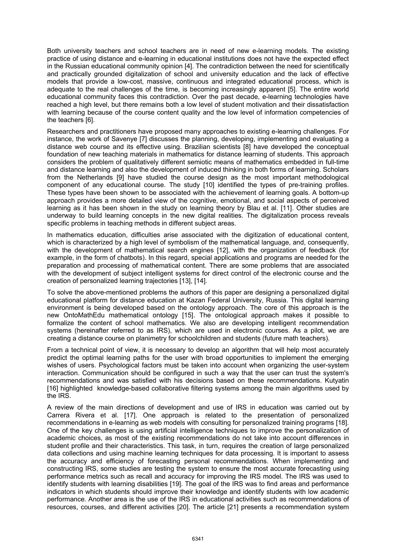Both university teachers and school teachers are in need of new e-learning models. The existing practice of using distance and e-learning in educational institutions does not have the expected effect in the Russian educational community opinion [4]. The contradiction between the need for scientifically and practically grounded digitalization of school and university education and the lack of effective models that provide a low-cost, massive, continuous and integrated educational process, which is adequate to the real challenges of the time, is becoming increasingly apparent [5]. The entire world educational community faces this contradiction. Over the past decade, e-learning technologies have reached a high level, but there remains both a low level of student motivation and their dissatisfaction with learning because of the course content quality and the low level of information competencies of the teachers [6].

Researchers and practitioners have proposed many approaches to existing e-learning challenges. For instance, the work of Savenye [7] discusses the planning, developing, implementing and evaluating a distance web course and its effective using. Brazilian scientists [8] have developed the conceptual foundation of new teaching materials in mathematics for distance learning of students. This approach considers the problem of qualitatively different semiotic means of mathematics embedded in full-time and distance learning and also the development of induced thinking in both forms of learning. Scholars from the Netherlands [9] have studied the course design as the most important methodological component of any educational course. The study [10] identified the types of pre-training profiles. These types have been shown to be associated with the achievement of learning goals. A bottom-up approach provides a more detailed view of the cognitive, emotional, and social aspects of perceived learning as it has been shown in the study on learning theory by Blau et al. [11]. Other studies are underway to build learning concepts in the new digital realities. The digitalization process reveals specific problems in teaching methods in different subject areas.

In mathematics education, difficulties arise associated with the digitization of educational content, which is characterized by a high level of symbolism of the mathematical language, and, consequently, with the development of mathematical search engines [12], with the organization of feedback (for example, in the form of chatbots). In this regard, special applications and programs are needed for the preparation and processing of mathematical content. There are some problems that are associated with the development of subject intelligent systems for direct control of the electronic course and the creation of personalized learning trajectories [13], [14].

To solve the above-mentioned problems the authors of this paper are designing a personalized digital educational platform for distance education at Kazan Federal University, Russia. This digital learning environment is being developed based on the ontology approach. The core of this approach is the new OntoMathEdu mathematical ontology [15]. The ontological approach makes it possible to formalize the content of school mathematics. We also are developing intelligent recommendation systems (hereinafter referred to as IRS), which are used in electronic courses. As a pilot, we are creating a distance course on planimetry for schoolchildren and students (future math teachers).

From a technical point of view, it is necessary to develop an algorithm that will help most accurately predict the optimal learning paths for the user with broad opportunities to implement the emerging wishes of users. Psychological factors must be taken into account when organizing the user-system interaction. Communication should be configured in such a way that the user can trust the system's recommendations and was satisfied with his decisions based on these recommendations. Kutyatin [16] highlighted knowledge-based collaborative filtering systems among the main algorithms used by the IRS.

A review of the main directions of development and use of IRS in education was carried out by Carrera Rivera et al. [17]. One approach is related to the presentation of personalized recommendations in e-learning as web models with consulting for personalized training programs [18]. One of the key challenges is using artificial intelligence techniques to improve the personalization of academic choices, as most of the existing recommendations do not take into account differences in student profile and their characteristics. This task, in turn, requires the creation of large personalized data collections and using machine learning techniques for data processing. It is important to assess the accuracy and efficiency of forecasting personal recommendations. When implementing and constructing IRS, some studies are testing the system to ensure the most accurate forecasting using performance metrics such as recall and accuracy for improving the IRS model. The IRS was used to identify students with learning disabilities [19]. The goal of the IRS was to find areas and performance indicators in which students should improve their knowledge and identify students with low academic performance. Another area is the use of the IRS in educational activities such as recommendations of resources, courses, and different activities [20]. The article [21] presents a recommendation system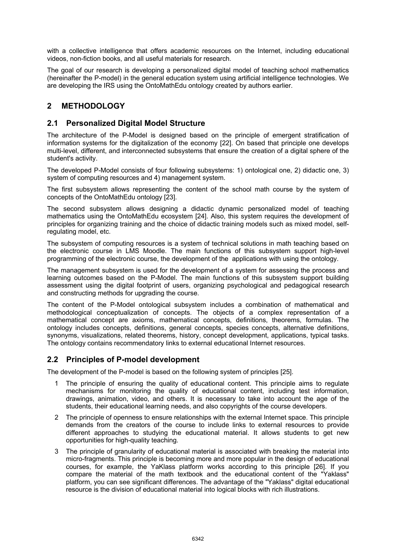with a collective intelligence that offers academic resources on the Internet, including educational videos, non-fiction books, and all useful materials for research.

The goal of our research is developing a personalized digital model of teaching school mathematics (hereinafter the P-model) in the general education system using artificial intelligence technologies. We are developing the IRS using the OntoMathEdu ontology created by authors earlier.

## **2 METHODOLOGY**

### **2.1 Personalized Digital Model Structure**

The architecture of the P-Model is designed based on the principle of emergent stratification of information systems for the digitalization of the economy [22]. On based that principle one develops multi-level, different, and interconnected subsystems that ensure the creation of a digital sphere of the student's activity.

The developed P-Model consists of four following subsystems: 1) ontological one, 2) didactic one, 3) system of computing resources and 4) management system.

The first subsystem allows representing the content of the school math course by the system of concepts of the OntoMathEdu ontology [23].

The second subsystem allows designing a didactic dynamic personalized model of teaching mathematics using the OntoMathEdu ecosystem [24]. Also, this system requires the development of principles for organizing training and the choice of didactic training models such as mixed model, selfregulating model, etc.

The subsystem of computing resources is a system of technical solutions in math teaching based on the electronic course in LMS Moodle. The main functions of this subsystem support high-level programming of the electronic course, the development of the applications with using the ontology.

The management subsystem is used for the development of a system for assessing the process and learning outcomes based on the P-Model. The main functions of this subsystem support building assessment using the digital footprint of users, organizing psychological and pedagogical research and constructing methods for upgrading the course.

The content of the P-Model ontological subsystem includes a combination of mathematical and methodological conceptualization of concepts. The objects of a complex representation of a mathematical concept are axioms, mathematical concepts, definitions, theorems, formulas. The ontology includes concepts, definitions, general concepts, species concepts, alternative definitions, synonyms, visualizations, related theorems, history, concept development, applications, typical tasks. The ontology contains recommendatory links to external educational Internet resources.

### **2.2 Principles of P-model development**

The development of the P-model is based on the following system of principles [25].

- 1 The principle of ensuring the quality of educational content. This principle aims to regulate mechanisms for monitoring the quality of educational content, including test information, drawings, animation, video, and others. It is necessary to take into account the age of the students, their educational learning needs, and also copyrights of the course developers.
- 2 The principle of openness to ensure relationships with the external Internet space. This principle demands from the creators of the course to include links to external resources to provide different approaches to studying the educational material. It allows students to get new opportunities for high-quality teaching.
- 3 The principle of granularity of educational material is associated with breaking the material into micro-fragments. This principle is becoming more and more popular in the design of educational courses, for example, the YaKlass platform works according to this principle [26]. If you compare the material of the math textbook and the educational content of the "Yaklass" platform, you can see significant differences. The advantage of the "Yaklass" digital educational resource is the division of educational material into logical blocks with rich illustrations.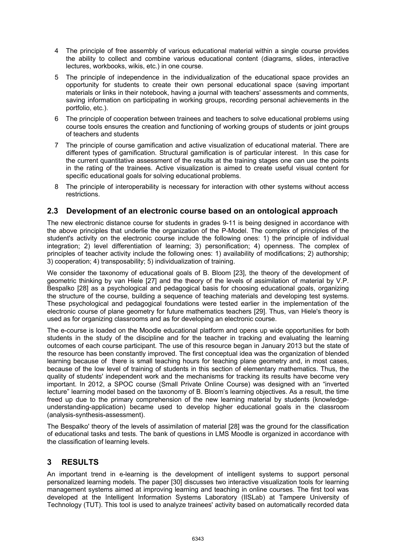- 4 The principle of free assembly of various educational material within a single course provides the ability to collect and combine various educational content (diagrams, slides, interactive lectures, workbooks, wikis, etc.) in one course.
- 5 The principle of independence in the individualization of the educational space provides an opportunity for students to create their own personal educational space (saving important materials or links in their notebook, having a journal with teachers' assessments and comments, saving information on participating in working groups, recording personal achievements in the portfolio, etc.).
- 6 The principle of cooperation between trainees and teachers to solve educational problems using course tools ensures the creation and functioning of working groups of students or joint groups of teachers and students
- 7 The principle of course gamification and active visualization of educational material. There are different types of gamification. Structural gamification is of particular interest. In this case for the current quantitative assessment of the results at the training stages one can use the points in the rating of the trainees. Active visualization is aimed to create useful visual content for specific educational goals for solving educational problems.
- 8 The principle of interoperability is necessary for interaction with other systems without access restrictions.

### **2.3 Development of an electronic course based on an ontological approach**

The new electronic distance course for students in grades 9-11 is being designed in accordance with the above principles that underlie the organization of the P-Model. The complex of principles of the student's activity on the electronic course include the following ones: 1) the principle of individual integration; 2) level differentiation of learning; 3) personification; 4) openness. The complex of principles of teacher activity include the following ones: 1) availability of modifications; 2) authorship; 3) cooperation; 4) transposability; 5) individualization of training.

We consider the taxonomy of educational goals of B. Bloom [23], the theory of the development of geometric thinking by van Hiele [27] and the theory of the levels of assimilation of material by V.P. Bespalko [28] as a psychological and pedagogical basis for choosing educational goals, organizing the structure of the course, building a sequence of teaching materials and developing test systems. These psychological and pedagogical foundations were tested earlier in the implementation of the electronic course of plane geometry for future mathematics teachers [29]. Thus, van Hiele's theory is used as for organizing classrooms and as for developing an electronic course.

The e-course is loaded on the Moodle educational platform and opens up wide opportunities for both students in the study of the discipline and for the teacher in tracking and evaluating the learning outcomes of each course participant. The use of this resource began in January 2013 but the state of the resource has been constantly improved. The first conceptual idea was the organization of blended learning because of there is small teaching hours for teaching plane geometry and, in most cases, because of the low level of training of students in this section of elementary mathematics. Thus, the quality of students' independent work and the mechanisms for tracking its results have become very important. In 2012, a SPOC course (Small Private Online Course) was designed with an "inverted lecture" learning model based on the taxonomy of B. Bloom's learning objectives. As a result, the time freed up due to the primary comprehension of the new learning material by students (knowledgeunderstanding-application) became used to develop higher educational goals in the classroom (analysis-synthesis-assessment).

The Bespalko' theory of the levels of assimilation of material [28] was the ground for the classification of educational tasks and tests. The bank of questions in LMS Moodle is organized in accordance with the classification of learning levels.

## **3 RESULTS**

An important trend in e-learning is the development of intelligent systems to support personal personalized learning models. The paper [30] discusses two interactive visualization tools for learning management systems aimed at improving learning and teaching in online courses. The first tool was developed at the Intelligent Information Systems Laboratory (IISLab) at Tampere University of Technology (TUT). This tool is used to analyze trainees' activity based on automatically recorded data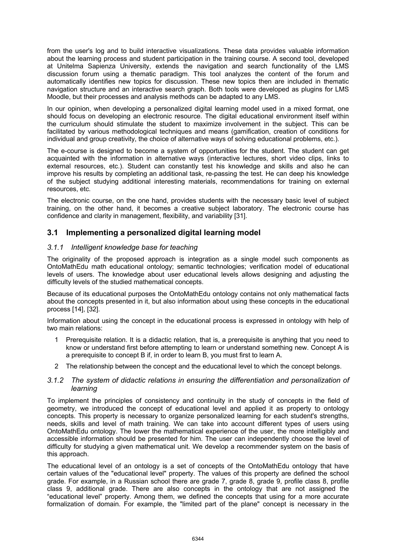from the user's log and to build interactive visualizations. These data provides valuable information about the learning process and student participation in the training course. A second tool, developed at Unitelma Sapienza University, extends the navigation and search functionality of the LMS discussion forum using a thematic paradigm. This tool analyzes the content of the forum and automatically identifies new topics for discussion. These new topics then are included in thematic navigation structure and an interactive search graph. Both tools were developed as plugins for LMS Moodle, but their processes and analysis methods can be adapted to any LMS.

In our opinion, when developing a personalized digital learning model used in a mixed format, one should focus on developing an electronic resource. The digital educational environment itself within the curriculum should stimulate the student to maximize involvement in the subject. This can be facilitated by various methodological techniques and means (gamification, creation of conditions for individual and group creativity, the choice of alternative ways of solving educational problems, etc.).

The e-course is designed to become a system of opportunities for the student. The student can get acquainted with the information in alternative ways (interactive lectures, short video clips, links to external resources, etc.). Student can constantly test his knowledge and skills and also he can improve his results by completing an additional task, re-passing the test. He can deep his knowledge of the subject studying additional interesting materials, recommendations for training on external resources, etc.

The electronic course, on the one hand, provides students with the necessary basic level of subject training, on the other hand, it becomes a creative subject laboratory. The electronic course has confidence and clarity in management, flexibility, and variability [31].

## **3.1 Implementing a personalized digital learning model**

#### *3.1.1 Intelligent knowledge base for teaching*

The originality of the proposed approach is integration as a single model such components as OntoMathEdu math educational ontology; semantic technologies; verification model of educational levels of users. The knowledge about user educational levels allows designing and adjusting the difficulty levels of the studied mathematical concepts.

Because of its educational purposes the OntoMathEdu ontology contains not only mathematical facts about the concepts presented in it, but also information about using these concepts in the educational process [14], [32].

Information about using the concept in the educational process is expressed in ontology with help of two main relations:

- 1 Prerequisite relation. It is a didactic relation, that is, a prerequisite is anything that you need to know or understand first before attempting to learn or understand something new. Concept A is a prerequisite to concept B if, in order to learn B, you must first to learn A.
- 2 The relationship between the concept and the educational level to which the concept belongs.

#### *3.1.2 The system of didactic relations in ensuring the differentiation and personalization of learning*

To implement the principles of consistency and continuity in the study of concepts in the field of geometry, we introduced the concept of educational level and applied it as property to ontology concepts. This property is necessary to organize personalized learning for each student's strengths, needs, skills and level of math training. We can take into account different types of users using OntoMathEdu ontology. The lower the mathematical experience of the user, the more intelligibly and accessible information should be presented for him. The user can independently choose the level of difficulty for studying a given mathematical unit. We develop a recommender system on the basis of this approach.

The educational level of an ontology is a set of concepts of the OntoMathEdu ontology that have certain values of the "educational level" property. The values of this property are defined the school grade. For example, in a Russian school there are grade 7, grade 8, grade 9, profile class 8, profile class 9, additional grade. There are also concepts in the ontology that are not assigned the "educational level" property. Among them, we defined the concepts that using for a more accurate formalization of domain. For example, the "limited part of the plane" concept is necessary in the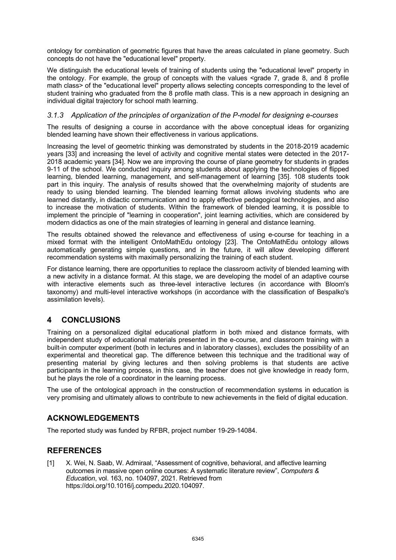ontology for combination of geometric figures that have the areas calculated in plane geometry. Such concepts do not have the "educational level" property.

We distinguish the educational levels of training of students using the "educational level" property in the ontology. For example, the group of concepts with the values <grade 7, grade 8, and 8 profile math class> of the "educational level" property allows selecting concepts corresponding to the level of student training who graduated from the 8 profile math class. This is a new approach in designing an individual digital trajectory for school math learning.

#### *3.1.3 Application of the principles of organization of the P-model for designing e-courses*

The results of designing a course in accordance with the above conceptual ideas for organizing blended learning have shown their effectiveness in various applications.

Increasing the level of geometric thinking was demonstrated by students in the 2018-2019 academic years [33] and increasing the level of activity and cognitive mental states were detected in the 2017- 2018 academic years [34]. Now we are improving the course of plane geometry for students in grades 9-11 of the school. We conducted inquiry among students about applying the technologies of flipped learning, blended learning, management, and self-management of learning [35]. 108 students took part in this inquiry. The analysis of results showed that the overwhelming majority of students are ready to using blended learning. The blended learning format allows involving students who are learned distantly, in didactic communication and to apply effective pedagogical technologies, and also to increase the motivation of students. Within the framework of blended learning, it is possible to implement the principle of "learning in cooperation", joint learning activities, which are considered by modern didactics as one of the main strategies of learning in general and distance learning.

The results obtained showed the relevance and effectiveness of using e-course for teaching in a mixed format with the intelligent OntoMathEdu ontology [23]. The OntoMathEdu ontology allows automatically generating simple questions, and in the future, it will allow developing different recommendation systems with maximally personalizing the training of each student.

For distance learning, there are opportunities to replace the classroom activity of blended learning with a new activity in a distance format. At this stage, we are developing the model of an adaptive course with interactive elements such as three-level interactive lectures (in accordance with Bloom's taxonomy) and multi-level interactive workshops (in accordance with the classification of Bespalko's assimilation levels).

## **4 CONCLUSIONS**

Training on a personalized digital educational platform in both mixed and distance formats, with independent study of educational materials presented in the e-course, and classroom training with a built-in computer experiment (both in lectures and in laboratory classes), excludes the possibility of an experimental and theoretical gap. The difference between this technique and the traditional way of presenting material by giving lectures and then solving problems is that students are active participants in the learning process, in this case, the teacher does not give knowledge in ready form, but he plays the role of a coordinator in the learning process.

The use of the ontological approach in the construction of recommendation systems in education is very promising and ultimately allows to contribute to new achievements in the field of digital education.

### **ACKNOWLEDGEMENTS**

The reported study was funded by RFBR, project number 19-29-14084.

### **REFERENCES**

[1] X. Wei, N. Saab, W. Admiraal, "Assessment of cognitive, behavioral, and affective learning outcomes in massive open online courses: A systematic literature review", *Computers & Education*, vol. 163, no. 104097, 2021. Retrieved from https://doi.org/10.1016/j.compedu.2020.104097.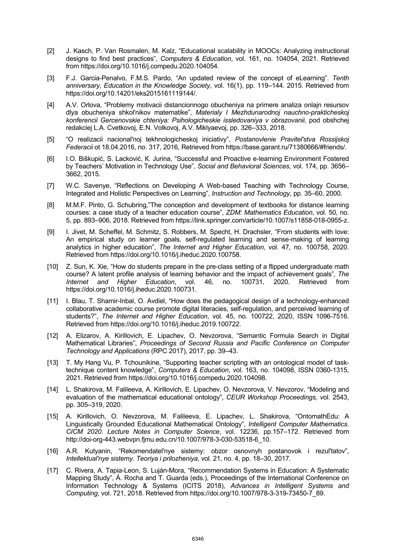- [2] J. Kasch, P. Van Rosmalen, M. Kalz, "Educational scalability in MOOCs: Analyzing instructional designs to find best practices", *Computers & Education*, vol. 161, no. 104054, 2021. Retrieved from https://doi.org/10.1016/j.compedu.2020.104054.
- [3] F.J. Garcia-Penalvo, F.M.S. Pardo, "An updated review of the concept of eLearning". *Tenth anniversary, Education in the Knowledge Society*, vol. 16(1), pp. 119–144. 2015. Retrieved from https://doi.org/10.14201/eks2015161119144/.
- [4] A.V. Orlova, "Problemy motivacii distancionnogo obucheniya na primere analiza onlajn resursov dlya obucheniya shkol'nikov matematike", *Materialy I Mezhdunarodnoj nauchno-prakticheskoj konferencii Gercenovskie chteniya: Psihologicheskie issledovaniya v obrazovanii*, pod obshchej redakciej L.A. Cvetkovoj, E.N. Volkovoj, A.V. Miklyaevoj, pp. 326–333, 2018.
- [5] "O realizacii nacional'noj tekhnologicheskoj iniciativy", *Postanovlenie Pravitel'stva Rossijskoj Federacii* ot 18.04.2016, no. 317, 2016, Retrieved from https://base.garant.ru/71380666/#friends/.
- [6] I.О. Biškupić, S. Lacković, К. Jurina, "Successful and Proactive e-learning Environment Fostered by Teachers' Motivation in Technology Use", *Social and Behavioral Sciences*, vol. 174, рр. 3656– 3662, 2015.
- [7] W.C. Savenye, "Reflections on Developing A Web-based Teaching with Technology Course, Integrated and Holistic Perspectives on Learning", *Instruction and Technology*, pp. 35–60, 2000.
- [8] M.M.F. Pinto, G. Schubring,"The conception and development of textbooks for distance learning courses: a case study of a teacher education course", *ZDM: Mathematics Education*, vol. 50, no. 5, pp. 893–906, 2018. Retrieved from https://link.springer.com/article/10.1007/s11858-018-0955-z.
- [9] I. Jivet, M. Scheffel, M. Schmitz, S. Robbers, M. Specht, H. Drachsler, "From students with love: An empirical study on learner goals, self-regulated learning and sense-making of learning analytics in higher education", *The Internet and Higher Education*, vol. 47, no. 100758, 2020. Retrieved from https://doi.org/10.1016/j.iheduc.2020.100758.
- [10] Z. Sun, K. Xie, "How do students prepare in the pre-class setting of a flipped undergraduate math course? A latent profile analysis of learning behavior and the impact of achievement goals", *The Internet and Higher Education*, vol. 46, no. 100731, 2020. Retrieved from https://doi.org/10.1016/j.iheduc.2020.100731.
- [11] I. Blau, T. Shamir-Inbal, O. Avdiel, "How does the pedagogical design of a technology-enhanced collaborative academic course promote digital literacies, self-regulation, and perceived learning of students?", *The Internet and Higher Education*, vol. 45, no. 100722, 2020, ISSN 1096-7516. Retrieved from https://doi.org/10.1016/j.iheduc.2019.100722.
- [12] A. Elizarov, A. Kirillovich, E. Lipachev, O. Nevzorova, "Semantic Formula Search in Digital Mathematical Libraries", *Proceedings of Second Russia and Pacific Conference on Computer Technology and Applications* (RPC 2017), 2017, pp. 39–43.
- [13] T. My Hang Vu, P. Tchounikine, "Supporting teacher scripting with an ontological model of tasktechnique content knowledge", *Computers & Education*, vol. 163, no. 104098, ISSN 0360-1315, 2021. Retrieved from https://doi.org/10.1016/j.compedu.2020.104098.
- [14] L. Shakirova, M. Falileeva, A. Kirillovich, E. Lipachev, O. Nevzorova, V. Nevzorov, "Modeling and evaluation of the mathematical educational ontology", *CEUR Workshop Proceedings, v*ol. 2543, pp. 305–319, 2020.
- [15] A. Kirillovich, O. Nevzorova, M. Falileeva, E. Lipachev, L. Shakirova, "OntomathEdu: A Linguistically Grounded Educational Mathematical Ontology", *Intelligent Computer Mathematics. CICM 2020*. *Lecture Notes in Computer Science*, vol. 12236, pp.157–172. Retrieved from http://doi-org-443.webvpn.fjmu.edu.cn/10.1007/978-3-030-53518-6\_10.
- [16] A.R. Kutyanin, "Rekomendatel'nye sistemy: obzor osnovnyh postanovok i rezul'tatov", *Intellektual'nye sistemy. Teoriya i prilozheniya*, vol. 21, no. 4, pp. 18–30, 2017.
- [17] C. Rivera, A. Tapia-Leon, S. Luján-Mora, "Recommendation Systems in Education: A Systematic Mapping Study", Á. Rocha and T. Guarda (eds.), Proceedings of the International Conference on Information Technology & Systems (ICITS 2018), *Advances in Intelligent Systems and Computing*, vol. 721, 2018. Retrieved from https://doi.org/10.1007/978-3-319-73450-7\_89.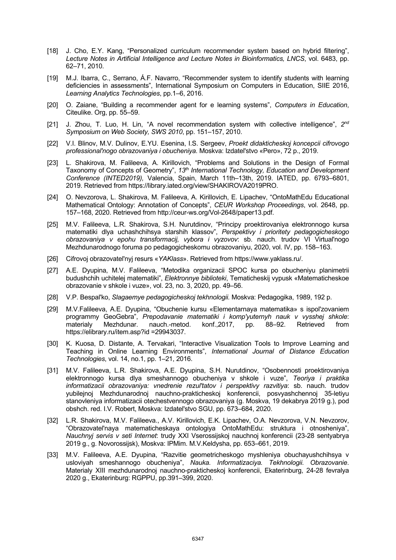- [18] J. Cho, E.Y. Kang, "Personalized curriculum recommender system based on hybrid filtering", *Lecture Notes in Artificial Intelligence and Lecture Notes in Bioinformatics, LNCS*, vol. 6483, pp. 62–71, 2010.
- [19] M.J. Ibarra, C., Serrano, Á.F. Navarro, "Recommender system to identify students with learning deficiencies in assessments", International Symposium on Computers in Education, SIIE 2016, *Learning Analytics Technologies*, рр.1–6, 2016.
- [20] O. Zaiane, "Building a recommender agent for e learning systems", *Computers in Education*, Citeulike. Org, pp. 55–59.
- [21] J. Zhou, T. Luo, H. Lin, "A novel recommendation system with collective intelligence", *2nd Symposium on Web Society, SWS 2010*, рр. 151–157, 2010.
- [22] V.I. Blinov, M.V. Dulinov, E.YU. Esenina, I.S. Sergeev, *Proekt didakticheskoj koncepcii cifrovogo professional'nogo obrazovaniya i obucheniya*. Moskva: Izdatel'stvo «Pero», 72 p., 2019.
- [23] L. Shakirova, M. Falileeva, A. Kirillovich, "Problems and Solutions in the Design of Formal Taxonomy of Concepts of Geometry", *13th International Technology, Education and Development Conference (INTED2019),* Valencia, Spain, March 11th–13th, 2019. IATED, pp. 6793–6801, 2019. Retrieved from https://library.iated.org/view/SHAKIROVA2019PRO.
- [24] O. Nevzorova, L. Shakirova, M. Falileeva, A. Kirillovich, E. Lipachev, "OntoMathEdu Educational Mathematical Ontology: Annotation of Concepts", *CEUR Workshop Proceedings*, vol. 2648, pp. 157–168, 2020. Retrieved from http://ceur-ws.org/Vol-2648/paper13.pdf.
- [25] M.V. Falileeva, L.R. Shakirova, S.H. Nurutdinov, "Principy proektirovaniya elektronnogo kursa matematiki dlya uchashchihsya starshih klassov", *Perspektivy i prioritety pedagogicheskogo obrazovaniya v epohu transformacij, vybora i vyzovov*: sb. nauch. trudov VI Virtual'nogo Mezhdunarodnogo foruma po pedagogicheskomu obrazovaniyu, 2020, vol. IV, pp. 158–163.
- [26] Cifrovoj obrazovatel'nyj resurs «*YAKlass*». Retrieved from https://www.yaklass.ru/.
- [27] A.E. Dyupina, M.V. Falileeva, "Metodika organizacii SPOC kursa po obucheniyu planimetrii budushchih uchitelej matematiki", *Elektronnye biblioteki*, Tematicheskij vypusk «Matematicheskoe obrazovanie v shkole i vuze», vol. 23, no. 3, 2020, pp. 49–56.
- [28] V.P. Bespal'ko, *Slagaemye pedagogicheskoj tekhnologii.* Moskva: Pedagogika, 1989, 192 p.
- [29] M.V.Falileeva, A.E. Dyupina, "Obuchenie kursu «Elementarnaya matematika» s ispol'zovaniem programmy GeoGebra", *Prepodavanie matematiki i komp'yuternyh nauk v vysshej shkole*: materialy Mezhdunar. nauch.-metod. konf.,2017, pp. 88–92. Retrieved from https://elibrary.ru/item.asp?id =29943037.
- [30] K. Kuosa, D. Distante, A. Tervakari, "Interactive Visualization Tools to Improve Learning and Teaching in Online Learning Environments", *International Journal of Distance Education Technologies*, vol. 14, no.1, pp. 1–21, 2016.
- [31] M.V. Falileeva, L.R. Shakirova, A.E. Dyupina, S.H. Nurutdinov, "Osobennosti proektirovaniya elektronnogo kursa dlya smeshannogo obucheniya v shkole i vuze", *Teoriya i praktika informatizacii obrazovaniya: vnedrenie rezul'tatov i perspektivy razvitiya*: sb. nauch. trudov yubilejnoj Mezhdunarodnoj nauchno-prakticheskoj konferencii, posvyashchennoj 35-letiyu stanovleniya informatizacii otechestvennogo obrazovaniya (g. Moskva, 19 dekabrya 2019 g.), pod obshch. red. I.V. Robert, Moskva: Izdatel'stvo SGU, pp. 673–684, 2020.
- [32] L.R. Shakirova, M.V. Falileeva., A.V. Kirillovich, E.K. Lipachev, O.A. Nevzorova, V.N. Nevzorov, "Obrazovatel'naya matematicheskaya ontologiya OntoMathEdu: struktura i otnosheniya", *Nauchnyj servis v seti Internet*: trudy XXI Vserossijskoj nauchnoj konferencii (23-28 sentyabrya 2019 g., g. Novorossijsk), Moskva: IPMim. M.V.Keldysha, pp. 653–661, 2019.
- [33] M.V. Falileeva, A.E. Dyupina, "Razvitie geometricheskogo myshleniya obuchayushchihsya v usloviyah smeshannogo obucheniya", *Nauka. Informatizaciya. Tekhnologii. Obrazovanie*. Materialy XIII mezhdunarodnoj nauchno-prakticheskoj konferencii, Ekaterinburg, 24-28 fevralya 2020 g., Ekaterinburg: RGPPU, pp.391–399, 2020.